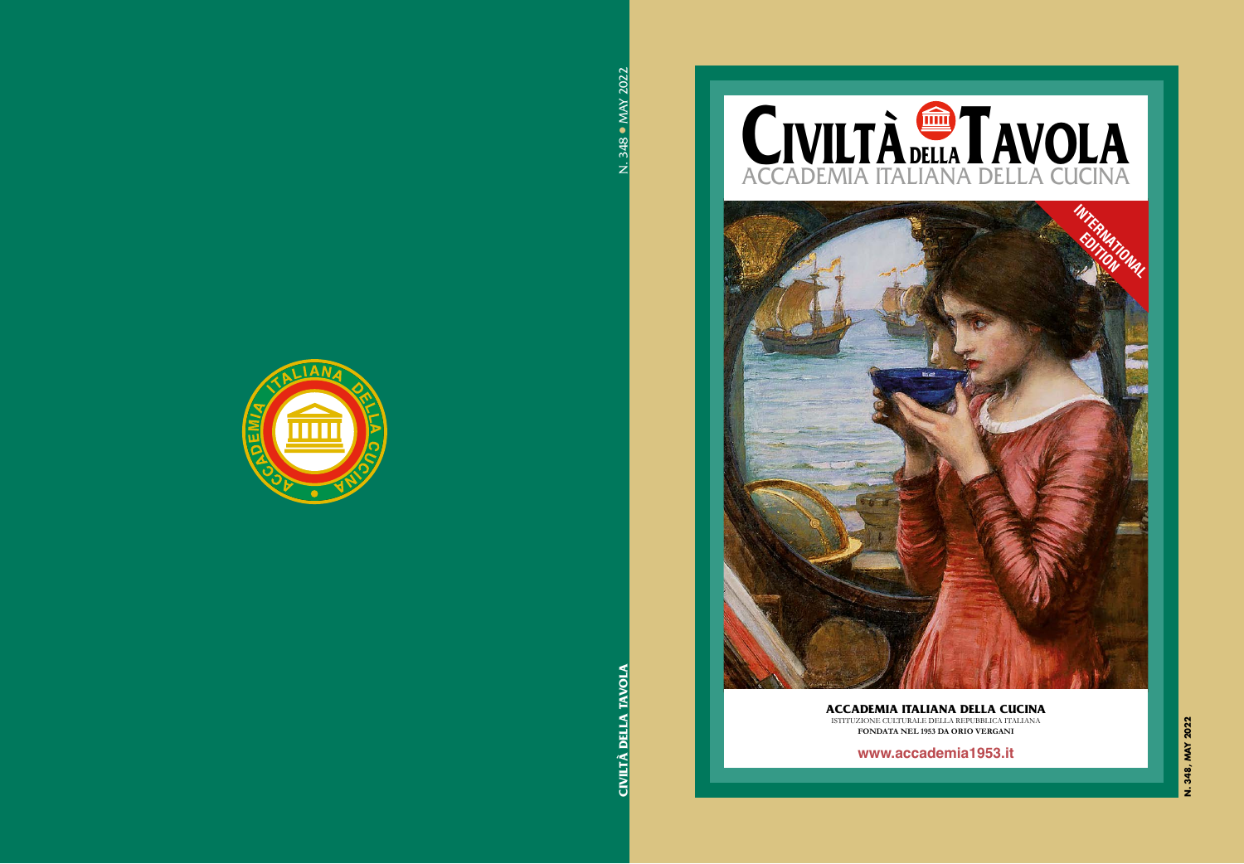# CIVILTÀ DELLA TAVOLA ACCADEMIA ITALIANA DELLA CUCINA



### **ACCADEMIA ITALIANA DELLA CUCINA** ISTITUZIONE CULTURALE DELLA REPUBBLICA ITALIANA

**FONDATA NEL 1953 DA ORIO VERGANI**

**www.accademia1953.it**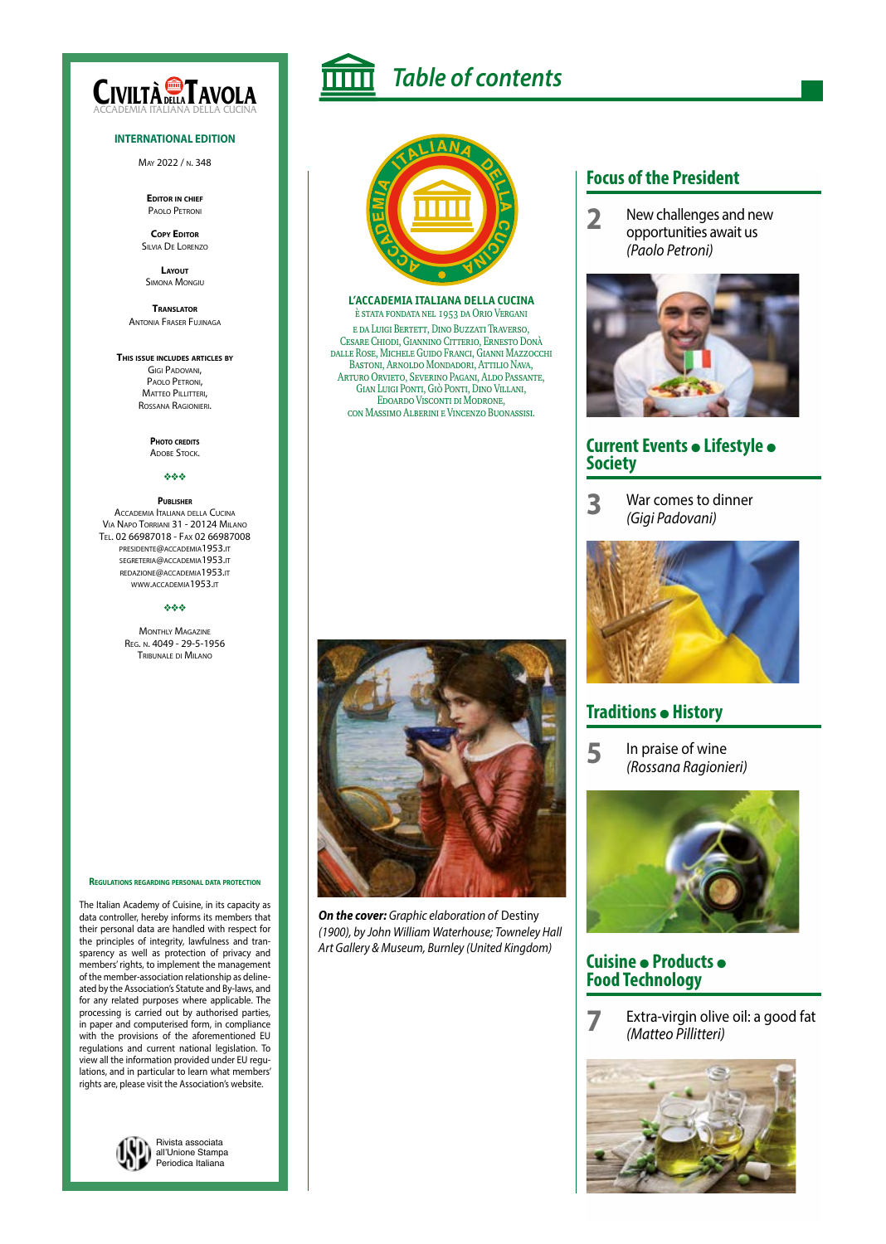

#### **INTERNATIONAL EDITION**

May 2022 / n. 348

**Editor in chief** Paolo Petroni

**Copy Editor** Silvia De Lorenzo

**Layout** Simona Mongiu

**Translator** Antonia Fraser Fujinaga

#### **This issue includes articles by**

Gigi Padovani, Paolo Petroni, MATTEO PILLITTERI, Rossana Ragionieri.

> **Photo credits** ADOBE STOCK.

#### vvv

#### **Publisher** Accademia Italiana della Cucina Via Napo Torriani 31 - 20124 Milano Tel. 02 66987018 - Fax 02 66987008

presidente@accademia1953.it segreteria@accademia1953.it redazione@accademia1953.it www.accademia1953.it

#### vvv

**MONTHLY MAGAZINE** Reg. n. 4049 - 29-5-1956 Tribunale di Milano

**Regulations regarding personal data protection**

The Italian Academy of Cuisine, in its capacity as data controller, hereby informs its members that their personal data are handled with respect for the principles of integrity, lawfulness and transparency as well as protection of privacy and members' rights, to implement the management of the member-association relationship as delineated by the Association's Statute and By-laws, and for any related purposes where applicable. The processing is carried out by authorised parties, in paper and computerised form, in compliance with the provisions of the aforementioned EU regulations and current national legislation. To view all the information provided under EU regulations, and in particular to learn what members' rights are, please visit the Association's website.





*Table of contents*

### **L'ACCADEMIA ITALIANA DELLA CUCINA**

è stata fondata nel 1953 da Orio Vergani e da Luigi Bertett, Dino Buzzati Traverso, Cesare Chiodi, Giannino Citterio, Ernesto Donà dalle Rose, Michele Guido Franci, Gianni Mazzocchi Bastoni, Arnoldo Mondadori, Attilio Nava, Arturo Orvieto, Severino Pagani, Aldo Passante, Gian Luigi Ponti, Giò Ponti, Dino Villani, Edoardo Visconti di Modrone, con Massimo Alberini e Vincenzo Buonassisi.



*On the cover: Graphic elaboration of* Destiny *(1900), by John William Waterhouse; Towneley Hall Art Gallery & Museum, Burnley (United Kingdom)*

### **Focus of the President**

**2** New challenges and new opportunities await us *(Paolo Petroni)*



### **Current Events · Lifestyle · Society**

**3** War comes to dinner *(Gigi Padovani)*



### **Traditions • History**

**5** In praise of wine *(Rossana Ragionieri)*



### **Cuisine · Products · Food Technology**

**7** Extra-virgin olive oil: a good fat *(Matteo Pillitteri)*

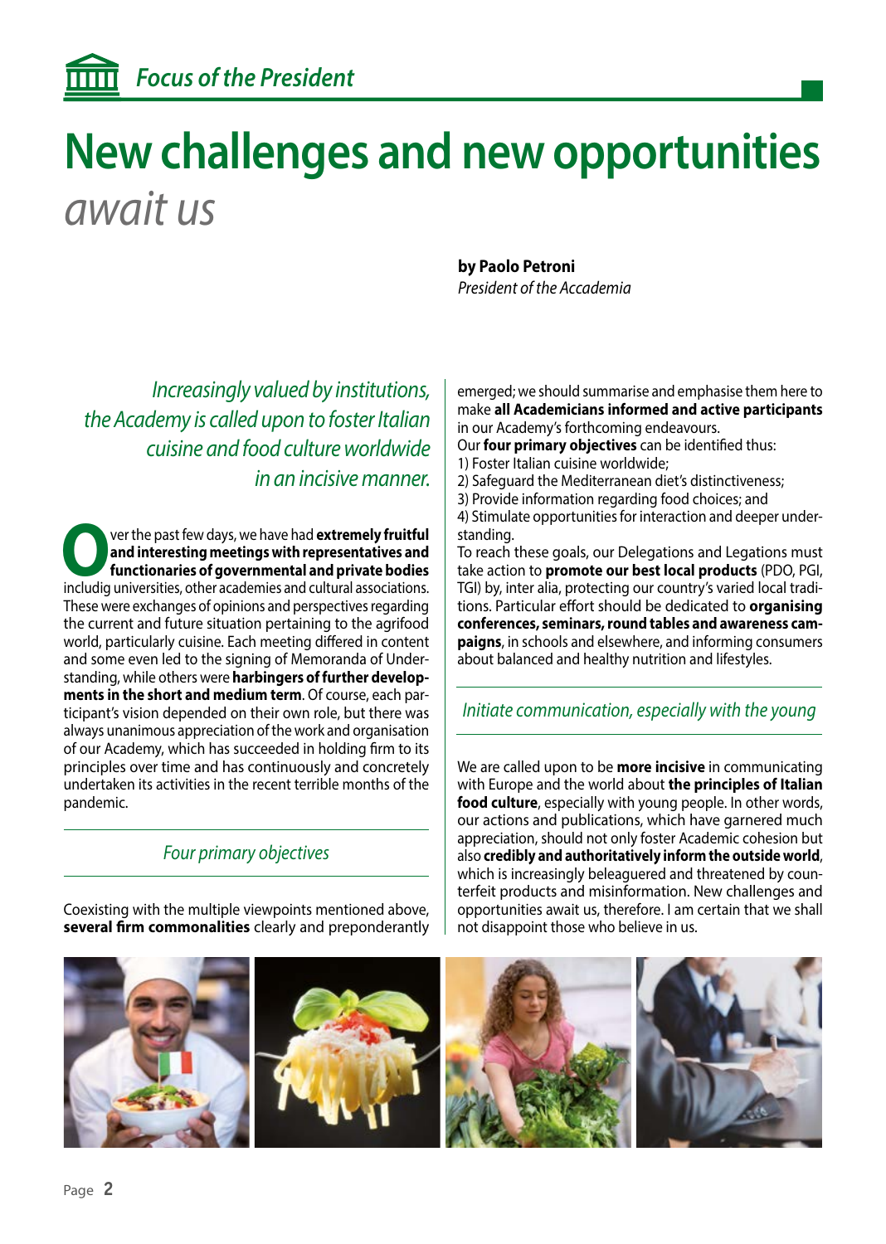## **New challenges and new opportunities** *await us*

*Increasingly valued by institutions, the Academy is called upon to foster Italian cuisine and food culture worldwide in an incisive manner.*

**O**ver the past few days, we have had **extremely fruitful**<br> **on dimension in the presentatives and<br>
functionaries of governmental and private bodies<br>
includia universities other academies and cultural associations and interesting meetings with representatives and functionaries of governmental and private bodies** includig universities, other academies and cultural associations. These were exchanges of opinions and perspectives regarding the current and future situation pertaining to the agrifood world, particularly cuisine. Each meeting differed in content and some even led to the signing of Memoranda of Understanding, while others were **harbingers of further developments in the short and medium term**. Of course, each participant's vision depended on their own role, but there was always unanimous appreciation of the work and organisation of our Academy, which has succeeded in holding firm to its principles over time and has continuously and concretely undertaken its activities in the recent terrible months of the pandemic.

## *Four primary objectives*

Coexisting with the multiple viewpoints mentioned above, **several firm commonalities** clearly and preponderantly **by Paolo Petroni**  *President of the Accademia*

emerged; we should summarise and emphasise them here to make **all Academicians informed and active participants** in our Academy's forthcoming endeavours.

Our **four primary objectives** can be identified thus:

- 1) Foster Italian cuisine worldwide;
- 2) Safeguard the Mediterranean diet's distinctiveness;
- 3) Provide information regarding food choices; and

4) Stimulate opportunities for interaction and deeper understanding.

To reach these goals, our Delegations and Legations must take action to **promote our best local products** (PDO, PGI, TGI) by, inter alia, protecting our country's varied local traditions. Particular effort should be dedicated to **organising conferences, seminars, round tables and awareness campaigns**, in schools and elsewhere, and informing consumers about balanced and healthy nutrition and lifestyles.

### *Initiate communication, especially with the young*

We are called upon to be **more incisive** in communicating with Europe and the world about **the principles of Italian food culture**, especially with young people. In other words, our actions and publications, which have garnered much appreciation, should not only foster Academic cohesion but also **credibly and authoritatively inform the outside world**, which is increasingly beleaguered and threatened by counterfeit products and misinformation. New challenges and opportunities await us, therefore. I am certain that we shall not disappoint those who believe in us.

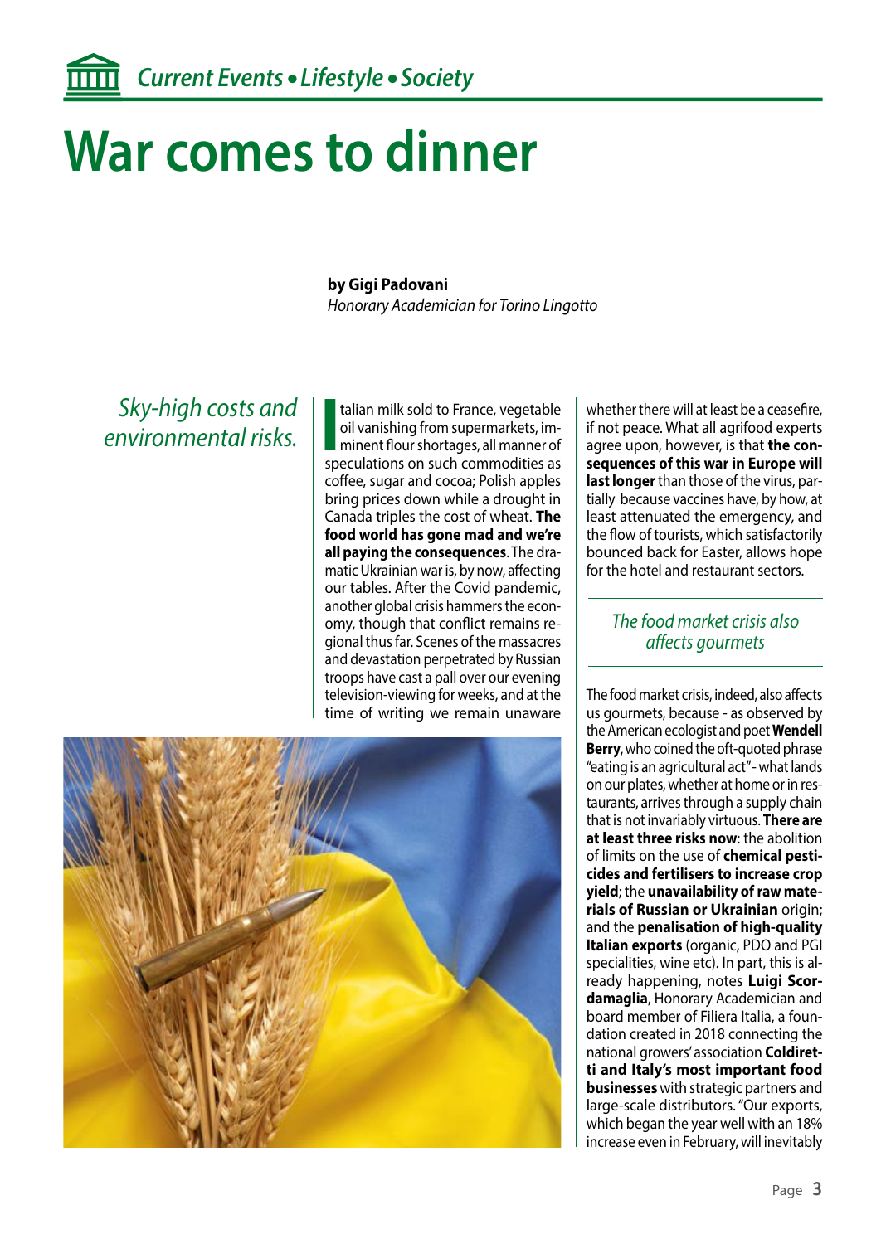## **War comes to dinner**

### **by Gigi Padovani**

*Honorary Academician for Torino Lingotto*

*Sky-high costs and environmental risks.* **I**

talian milk sold to France, vegetable oil vanishing from supermarkets, imminent flour shortages, all manner of speculations on such commodities as coffee, sugar and cocoa; Polish apples bring prices down while a drought in Canada triples the cost of wheat. **The food world has gone mad and we're all paying the consequences**. The dramatic Ukrainian war is, by now, affecting our tables. After the Covid pandemic, another global crisis hammers the economy, though that conflict remains regional thus far. Scenes of the massacres and devastation perpetrated by Russian troops have cast a pall over our evening television-viewing for weeks, and at the time of writing we remain unaware

whether there will at least be a ceasefire, if not peace. What all agrifood experts agree upon, however, is that **the consequences of this war in Europe will last longer** than those of the virus, partially because vaccines have, by how, at least attenuated the emergency, and the flow of tourists, which satisfactorily bounced back for Easter, allows hope for the hotel and restaurant sectors.

### *The food market crisis also affects gourmets*

The food market crisis, indeed, also affects us gourmets, because - as observed by the American ecologist and poet **Wendell Berry**, who coined the oft-quoted phrase "eating is an agricultural act" - what lands on our plates, whether at home or in restaurants, arrives through a supply chain that is not invariably virtuous. **There are at least three risks now**: the abolition of limits on the use of **chemical pesticides and fertilisers to increase crop yield**; the **unavailability of raw materials of Russian or Ukrainian** origin; and the **penalisation of high-quality Italian exports** (organic, PDO and PGI specialities, wine etc). In part, this is already happening, notes **Luigi Scordamaglia**, Honorary Academician and board member of Filiera Italia, a foundation created in 2018 connecting the national growers' association **Coldiretti and Italy's most important food businesses** with strategic partners and large-scale distributors. "Our exports, which began the year well with an 18% increase even in February, will inevitably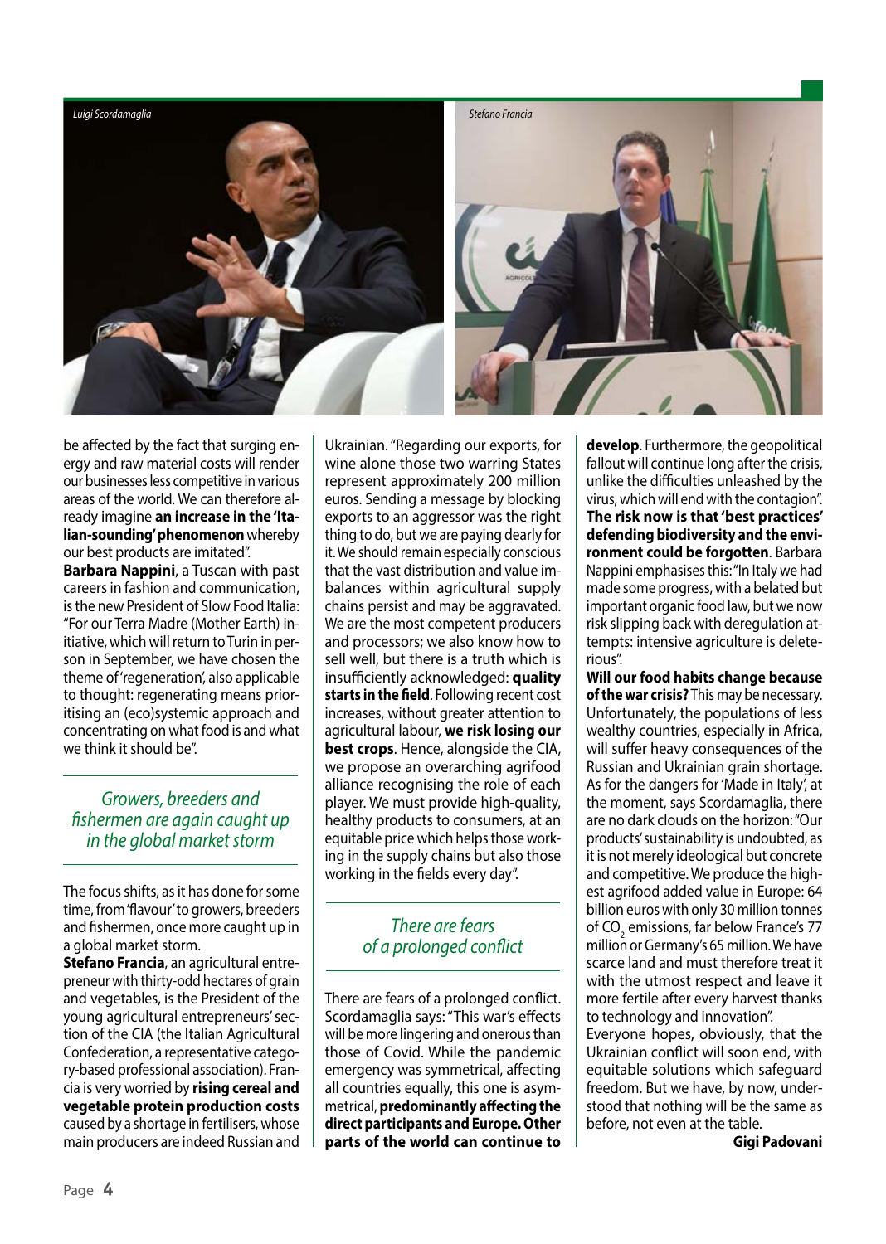

be affected by the fact that surging energy and raw material costs will render our businesses less competitive in various areas of the world. We can therefore already imagine **an increase in the 'Italian-sounding' phenomenon** whereby our best products are imitated". **Barbara Nappini**, a Tuscan with past

careers in fashion and communication, is the new President of Slow Food Italia: "For our Terra Madre (Mother Earth) initiative, which will return to Turin in person in September, we have chosen the theme of 'regeneration', also applicable to thought: regenerating means prioritising an (eco)systemic approach and concentrating on what food is and what we think it should be".

### *Growers, breeders and fishermen are again caught up in the global market storm*

The focus shifts, as it has done for some time, from 'flavour' to growers, breeders and fishermen, once more caught up in a global market storm.

**Stefano Francia**, an agricultural entrepreneur with thirty-odd hectares of grain and vegetables, is the President of the young agricultural entrepreneurs' section of the CIA (the Italian Agricultural Confederation, a representative category-based professional association). Francia is very worried by **rising cereal and vegetable protein production costs** caused by a shortage in fertilisers, whose main producers are indeed Russian and

Ukrainian. "Regarding our exports, for wine alone those two warring States represent approximately 200 million euros. Sending a message by blocking exports to an aggressor was the right thing to do, but we are paying dearly for it. We should remain especially conscious that the vast distribution and value imbalances within agricultural supply chains persist and may be aggravated. We are the most competent producers and processors; we also know how to sell well, but there is a truth which is insufficiently acknowledged: **quality starts in the field**. Following recent cost increases, without greater attention to agricultural labour, **we risk losing our best crops**. Hence, alongside the CIA, we propose an overarching agrifood alliance recognising the role of each player. We must provide high-quality, healthy products to consumers, at an equitable price which helps those working in the supply chains but also those working in the fields every day".

### *There are fears of a prolonged conflict*

There are fears of a prolonged conflict. Scordamaglia says: "This war's effects will be more lingering and onerous than those of Covid. While the pandemic emergency was symmetrical, affecting all countries equally, this one is asymmetrical, **predominantly affecting the direct participants and Europe. Other parts of the world can continue to** 

**develop**. Furthermore, the geopolitical fallout will continue long after the crisis, unlike the difficulties unleashed by the virus, which will end with the contagion". **The risk now is that 'best practices' defending biodiversity and the environment could be forgotten**. Barbara Nappini emphasises this: "In Italy we had made some progress, with a belated but important organic food law, but we now risk slipping back with deregulation attempts: intensive agriculture is deleterious".

**Will our food habits change because of the war crisis?** This may be necessary. Unfortunately, the populations of less wealthy countries, especially in Africa, will suffer heavy consequences of the Russian and Ukrainian grain shortage. As for the dangers for 'Made in Italy', at the moment, says Scordamaglia, there are no dark clouds on the horizon: "Our products' sustainability is undoubted, as it is not merely ideological but concrete and competitive. We produce the highest agrifood added value in Europe: 64 billion euros with only 30 million tonnes of CO<sub>2</sub> emissions, far below France's 77 million or Germany's 65 million. We have scarce land and must therefore treat it with the utmost respect and leave it more fertile after every harvest thanks to technology and innovation". Everyone hopes, obviously, that the

Ukrainian conflict will soon end, with equitable solutions which safeguard freedom. But we have, by now, understood that nothing will be the same as before, not even at the table.

**Gigi Padovani**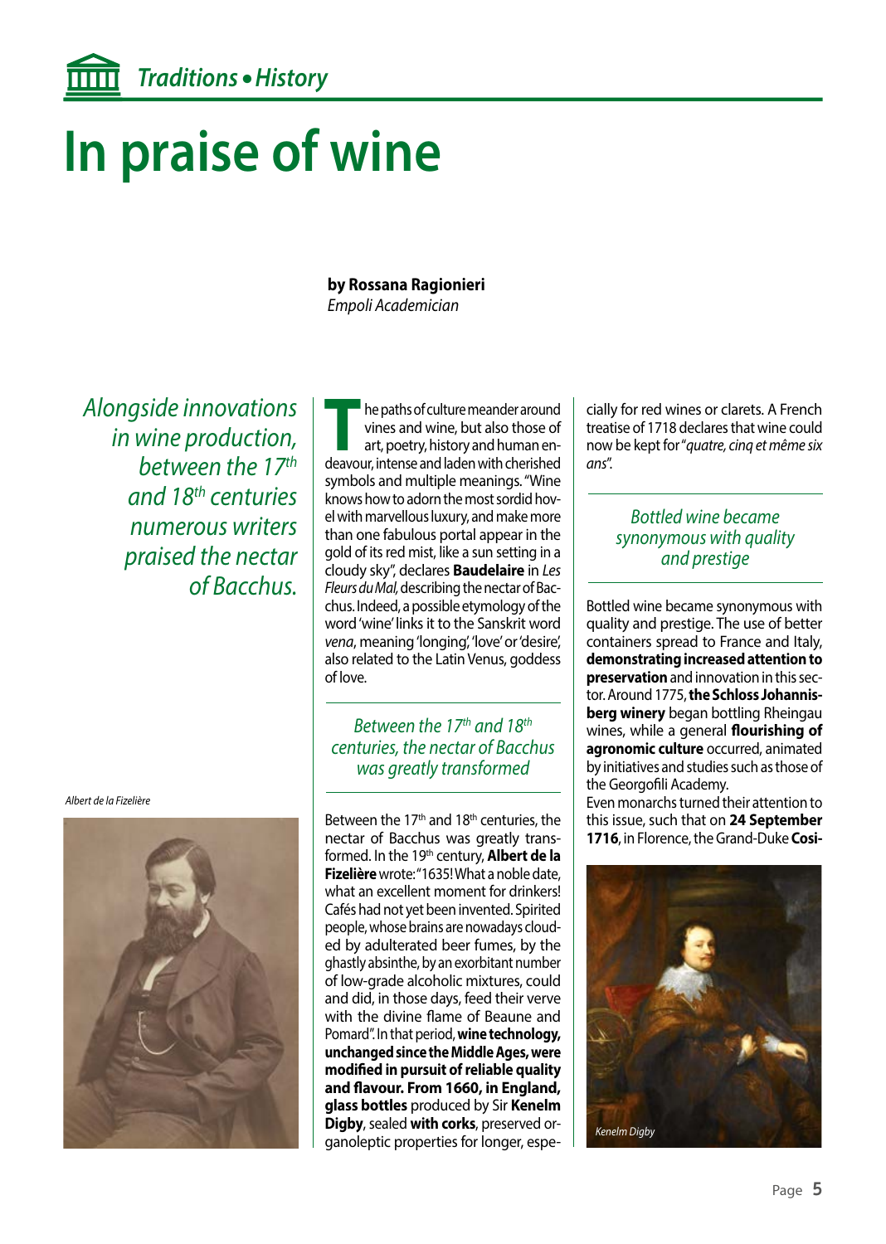## **In praise of wine**

### **by Rossana Ragionieri**  *Empoli Academician*

*Alongside innovations in wine production, between the 17th and 18th centuries numerous writers praised the nectar of Bacchus.*

*Albert de la Fizelière*



**TRANS** he paths of culture meander around<br>
vines and wine, but also those of<br>
art, poetry, history and human en-<br>
deavour intense and laden with cherished vines and wine, but also those of deavour, intense and laden with cherished symbols and multiple meanings. "Wine knows how to adorn the most sordid hovel with marvellous luxury, and make more than one fabulous portal appear in the gold of its red mist, like a sun setting in a cloudy sky", declares **Baudelaire** in *Les Fleurs du Mal,* describing the nectar of Bacchus. Indeed, a possible etymology of the word 'wine' links it to the Sanskrit word *vena*, meaning 'longing', 'love' or 'desire', also related to the Latin Venus, goddess of love.

### *Between the 17th and 18th centuries, the nectar of Bacchus was greatly transformed*

Between the  $17<sup>th</sup>$  and  $18<sup>th</sup>$  centuries, the nectar of Bacchus was greatly transformed. In the 19<sup>th</sup> century, **Albert de la Fizelière** wrote: "1635! What a noble date, what an excellent moment for drinkers! Cafés had not yet been invented. Spirited people, whose brains are nowadays clouded by adulterated beer fumes, by the ghastly absinthe, by an exorbitant number of low-grade alcoholic mixtures, could and did, in those days, feed their verve with the divine flame of Beaune and Pomard". In that period, **wine technology, unchanged since the Middle Ages, were modified in pursuit of reliable quality and flavour. From 1660, in England, glass bottles** produced by Sir **Kenelm Digby**, sealed **with corks**, preserved organoleptic properties for longer, especially for red wines or clarets. A French treatise of 1718 declares that wine could now be kept for "*quatre, cinq et même six ans*".

### *Bottled wine became synonymous with quality and prestige*

Bottled wine became synonymous with quality and prestige. The use of better containers spread to France and Italy, **demonstrating increased attention to preservation** and innovation in this sector. Around 1775, **the Schloss Johannisberg winery** began bottling Rheingau wines, while a general **flourishing of agronomic culture** occurred, animated by initiatives and studies such as those of the Georgofili Academy.

Even monarchs turned their attention to this issue, such that on **24 September 1716**, in Florence, the Grand-Duke **Cosi-**

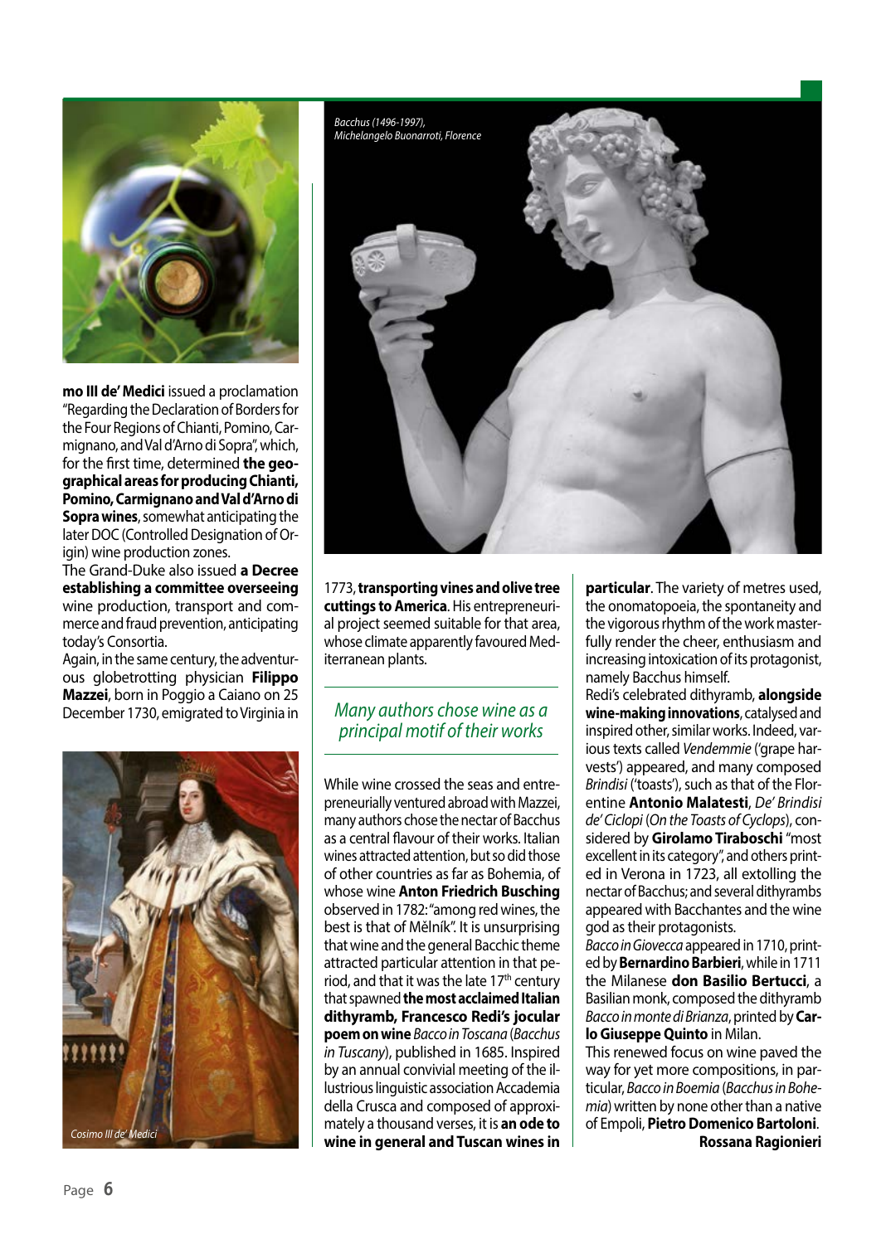

**mo III de' Medici** issued a proclamation "Regarding the Declaration of Borders for the Four Regions of Chianti, Pomino, Carmignano, and Val d'Arno di Sopra", which, for the first time, determined **the geographical areas for producing Chianti, Pomino, Carmignano and Val d'Arno di Sopra wines**, somewhat anticipating the later DOC (Controlled Designation of Origin) wine production zones.

The Grand-Duke also issued **a Decree establishing a committee overseeing** wine production, transport and commerce and fraud prevention, anticipating today's Consortia.

Again, in the same century, the adventurous globetrotting physician **Filippo Mazzei**, born in Poggio a Caiano on 25 December 1730, emigrated to Virginia in



1773, **transporting vines and olive tree cuttings to America**. His entrepreneurial project seemed suitable for that area, whose climate apparently favoured Mediterranean plants.

### *Many authors chose wine as a principal motif of their works*



While wine crossed the seas and entrepreneurially ventured abroad with Mazzei, many authors chose the nectar of Bacchus as a central flavour of their works. Italian wines attracted attention, but so did those of other countries as far as Bohemia, of whose wine **Anton Friedrich Busching** observed in 1782: "among red wines, the best is that of Mělník". It is unsurprising that wine and the general Bacchic theme attracted particular attention in that period, and that it was the late 17<sup>th</sup> century that spawned **the most acclaimed Italian dithyramb, Francesco Redi's jocular poem on wine** *Bacco in Toscana* (*Bacchus in Tuscany*), published in 1685. Inspired by an annual convivial meeting of the illustrious linguistic association Accademia della Crusca and composed of approximately a thousand verses, it is **an ode to wine in general and Tuscan wines in**  **particular**. The variety of metres used, the onomatopoeia, the spontaneity and the vigorous rhythm of the work masterfully render the cheer, enthusiasm and increasing intoxication of its protagonist, namely Bacchus himself.

Redi's celebrated dithyramb, **alongside wine-making innovations**, catalysed and inspired other, similar works. Indeed, various texts called *Vendemmie* ('grape harvests') appeared, and many composed *Brindisi* ('toasts'), such as that of the Florentine **Antonio Malatesti**, *De' Brindisi de' Ciclopi* (*On the Toasts of Cyclops*), considered by **Girolamo Tiraboschi** "most excellent in its category", and others printed in Verona in 1723, all extolling the nectar of Bacchus; and several dithyrambs appeared with Bacchantes and the wine god as their protagonists.

*Bacco in Giovecca* appeared in 1710, printed by **Bernardino Barbieri**, while in 1711 the Milanese **don Basilio Bertucci**, a Basilian monk, composed the dithyramb *Bacco in monte di Brianza*, printed by **Carlo Giuseppe Quinto** in Milan.

This renewed focus on wine paved the way for yet more compositions, in particular, *Bacco in Boemia* (*Bacchus in Bohemia*) written by none other than a native of Empoli, **Pietro Domenico Bartoloni**. **Rossana Ragionieri**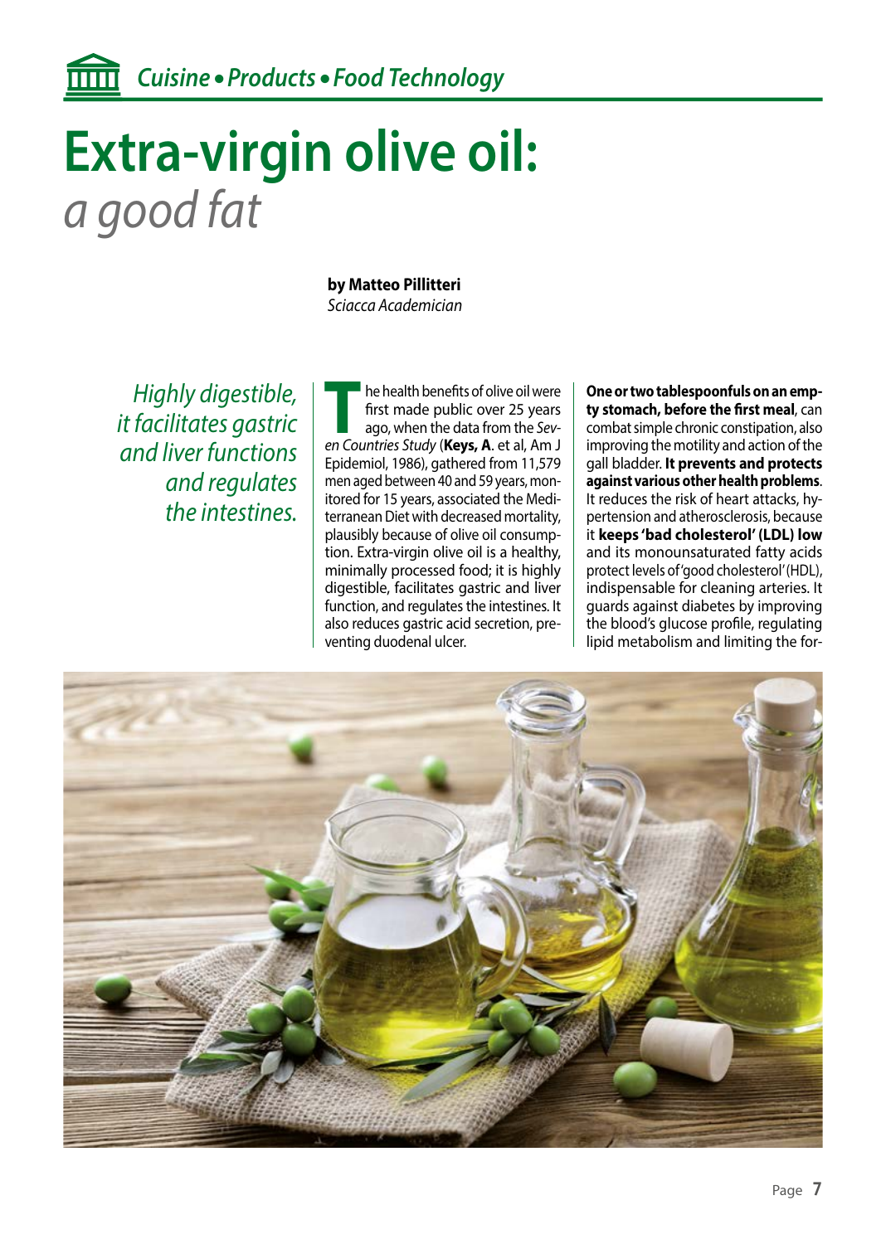## **Extra-virgin olive oil:** *a good fat*

**by Matteo Pillitteri**

*Sciacca Academician*

*Highly digestible, it facilitates gastric and liver functions and regulates the intestines.*

**T** he health benefits of olive oil were first made public over 25 years ago, when the data from the *Seven Countries Study* (**Keys, A**. et al, Am J Epidemiol, 1986), gathered from 11,579 men aged between 40 and 59 years, monitored for 15 years, associated the Mediterranean Diet with decreased mortality, plausibly because of olive oil consumption. Extra-virgin olive oil is a healthy, minimally processed food; it is highly digestible, facilitates gastric and liver function, and regulates the intestines. It also reduces gastric acid secretion, preventing duodenal ulcer.

**One or two tablespoonfuls on an empty stomach, before the first meal**, can combat simple chronic constipation, also improving the motility and action of the gall bladder. **It prevents and protects against various other health problems**. It reduces the risk of heart attacks, hypertension and atherosclerosis, because it **keeps 'bad cholesterol' (LDL) low** and its monounsaturated fatty acids protect levels of 'good cholesterol' (HDL), indispensable for cleaning arteries. It guards against diabetes by improving the blood's glucose profile, regulating lipid metabolism and limiting the for-